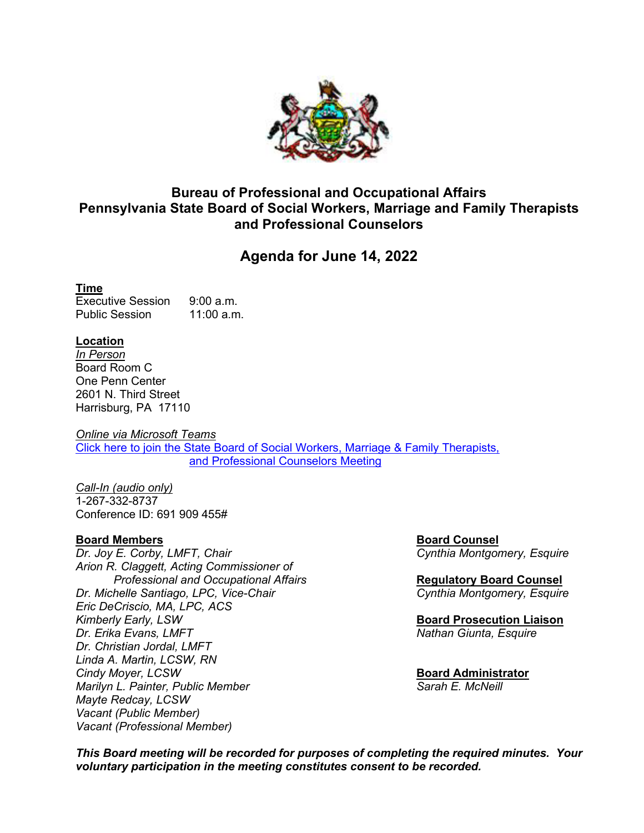

## **Bureau of Professional and Occupational Affairs Pennsylvania State Board of Social Workers, Marriage and Family Therapists and Professional Counselors**

# **Agenda for June 14, 2022**

#### **Time**

Executive Session 9:00 a.m. Public Session 11:00 a.m.

#### **Location**

*In Person* Board Room C One Penn Center 2601 N. Third Street Harrisburg, PA 17110

*Online via Microsoft Teams* [Click here to join the State Board of Social Workers, Marriage & Family Therapists,](https://teams.microsoft.com/l/meetup-join/19:meeting_Njc3ZjdkNTUtYmYzYy00NDdiLWFmY2EtMmQzYWQxYmQ1NTUz@thread.v2/0?context=%7b%22Tid%22:%22418e2841-0128-4dd5-9b6c-47fc5a9a1bde%22%2c%22Oid%22:%222249e74b-8eab-4e10-8df3-263112c48e2b%22%7d)  [and Professional Counselors](https://teams.microsoft.com/l/meetup-join/19:meeting_Njc3ZjdkNTUtYmYzYy00NDdiLWFmY2EtMmQzYWQxYmQ1NTUz@thread.v2/0?context=%7b%22Tid%22:%22418e2841-0128-4dd5-9b6c-47fc5a9a1bde%22%2c%22Oid%22:%222249e74b-8eab-4e10-8df3-263112c48e2b%22%7d) Meeting

*Call-In (audio only)* 1-267-332-8737 Conference ID: 691 909 455#

#### **Board Members Board Counsel**

*Dr. Joy E. Corby, LMFT, Chair Cynthia Montgomery, Esquire Arion R. Claggett, Acting Commissioner of Professional and Occupational Affairs* **Regulatory Board Counsel** *Dr. Michelle Santiago, LPC, Vice-Chair Eric DeCriscio, MA, LPC, ACS Kimberly Early, LSW* **Board Prosecution Liaison** *Dr. Erika Evans, LMFT* Nathan Giunta, Esquire *Nathan Giunta, Esquire Nathan Giunta, Esquire Dr. Christian Jordal, LMFT Linda A. Martin, LCSW, RN Marilyn L. Painter, Public Member Mayte Redcay, LCSW Vacant (Public Member) Vacant (Professional Member)* 

**Board Administrator**<br>*Sarah E McNeill* 

*This Board meeting will be recorded for purposes of completing the required minutes. Your voluntary participation in the meeting constitutes consent to be recorded.*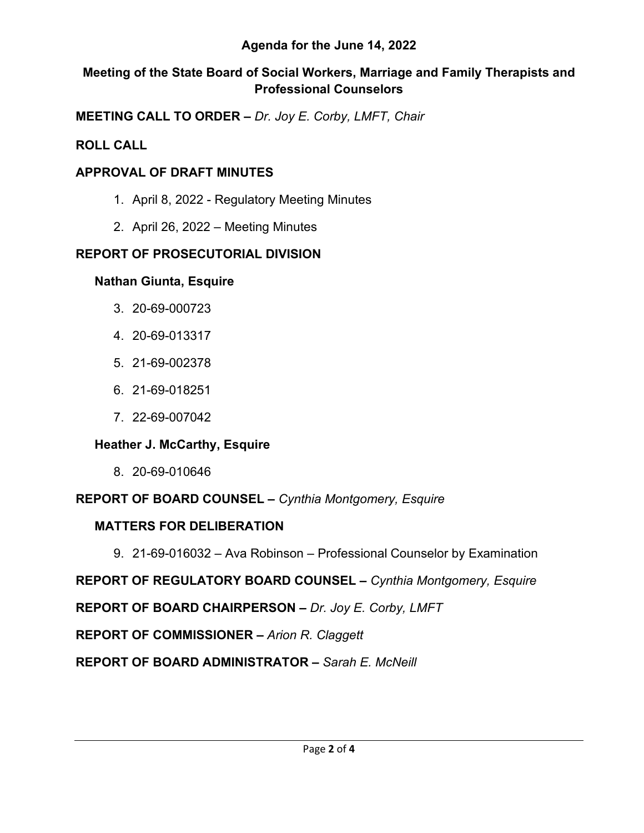## **Agenda for the June 14, 2022**

## **Meeting of the State Board of Social Workers, Marriage and Family Therapists and Professional Counselors**

**MEETING CALL TO ORDER –** *Dr. Joy E. Corby, LMFT, Chair*

## **ROLL CALL**

## **APPROVAL OF DRAFT MINUTES**

- 1. April 8, 2022 Regulatory Meeting Minutes
- 2. April 26, 2022 Meeting Minutes

# **REPORT OF PROSECUTORIAL DIVISION**

## **Nathan Giunta, Esquire**

- 3. 20-69-000723
- 4. 20-69-013317
- 5. 21-69-002378
- 6. 21-69-018251
- 7. 22-69-007042

# **Heather J. McCarthy, Esquire**

8. 20-69-010646

**REPORT OF BOARD COUNSEL –** *Cynthia Montgomery, Esquire*

# **MATTERS FOR DELIBERATION**

9. 21-69-016032 – Ava Robinson – Professional Counselor by Examination

**REPORT OF REGULATORY BOARD COUNSEL –** *Cynthia Montgomery, Esquire*

**REPORT OF BOARD CHAIRPERSON –** *Dr. Joy E. Corby, LMFT*

**REPORT OF COMMISSIONER –** *Arion R. Claggett*

**REPORT OF BOARD ADMINISTRATOR –** *Sarah E. McNeill*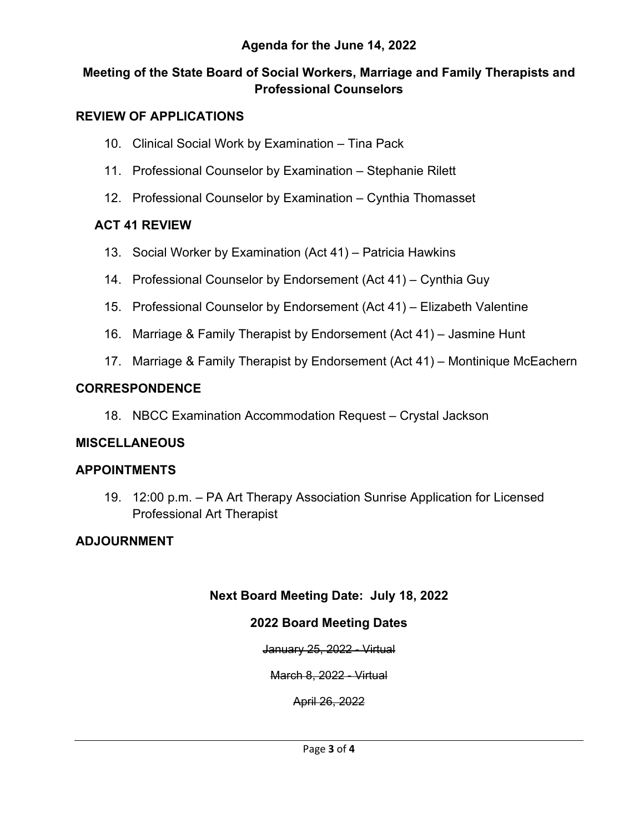## **Agenda for the June 14, 2022**

## **Meeting of the State Board of Social Workers, Marriage and Family Therapists and Professional Counselors**

#### **REVIEW OF APPLICATIONS**

- 10. Clinical Social Work by Examination Tina Pack
- 11. Professional Counselor by Examination Stephanie Rilett
- 12. Professional Counselor by Examination Cynthia Thomasset

## **ACT 41 REVIEW**

- 13. Social Worker by Examination (Act 41) Patricia Hawkins
- 14. Professional Counselor by Endorsement (Act 41) Cynthia Guy
- 15. Professional Counselor by Endorsement (Act 41) Elizabeth Valentine
- 16. Marriage & Family Therapist by Endorsement (Act 41) Jasmine Hunt
- 17. Marriage & Family Therapist by Endorsement (Act 41) Montinique McEachern

#### **CORRESPONDENCE**

18. NBCC Examination Accommodation Request – Crystal Jackson

## **MISCELLANEOUS**

#### **APPOINTMENTS**

19. 12:00 p.m. – PA Art Therapy Association Sunrise Application for Licensed Professional Art Therapist

## **ADJOURNMENT**

## **Next Board Meeting Date: July 18, 2022**

## **2022 Board Meeting Dates**

January 25, 2022 - Virtual

March 8, 2022 - Virtual

April 26, 2022